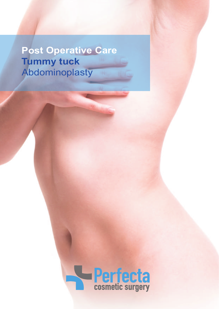**Post Operative Care Tummy tuck** Abdominoplasty

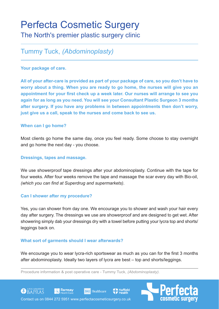# Perfecta Cosmetic Surgery

# The North's premier plastic surgery clinic

# Tummy Tuck, *(Abdominoplasty)*

### **Your package of care.**

**All of your after-care is provided as part of your package of care, so you don't have to worry about a thing. When you are ready to go home, the nurses will give you an appointment for your first check up a week later. Our nurses will arrange to see you again for as long as you need. You will see your Consultant Plastic Surgeon 3 months after surgery. If you have any problems in between appointments then don't worry, just give us a call, speak to the nurses and come back to see us.**

## **When can I go home?**

Most clients go home the same day, once you feel ready. Some choose to stay overnight and go home the next day - you choose.

#### **Dressings, tapes and massage.**

We use showerproof tape dressings after your abdominoplasty. Continue with the tape for four weeks. After four weeks remove the tape and massage the scar every day with Bio-oil, *(which you can find at Superdrug and supermarkets)*.

#### **Can I shower after my procedure?**

Yes, you can shower from day one. We encourage you to shower and wash your hair every day after surgery. The dressings we use are showerproof and are designed to get wet. After showering simply dab your dressings dry with a towel before putting your lycra top and shorts/ leggings back on.

## **What sort of garments should I wear afterwards?**

We encourage you to wear lycra-rich sportswear as much as you can for the first 3 months after abdominoplasty. Ideally two layers of lycra are best – top and shorts/leggings.

**Nuffield** 

Procedure information & post operative care - Tummy Tuck, *(Abdominoplasty).*

**BMI** Healthcare



Contact us on 0844 272 5951 www.perfectacosmeticsurgery.co.uk

**■ Ramsay** 

**CO** BAPRAS